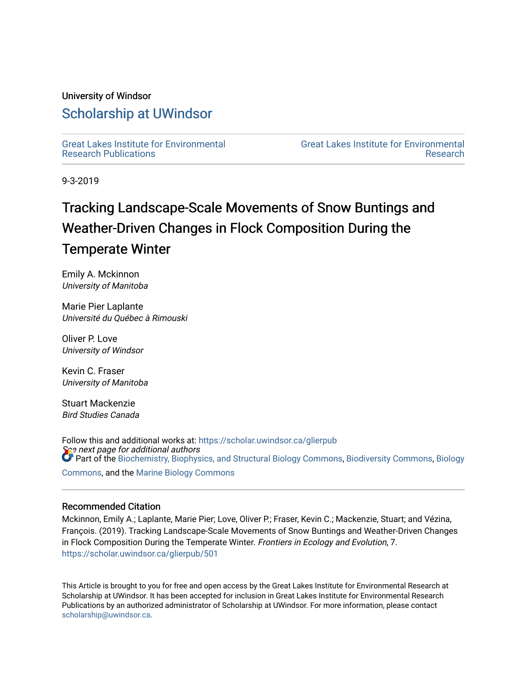#### University of Windsor

# [Scholarship at UWindsor](https://scholar.uwindsor.ca/)

[Great Lakes Institute for Environmental](https://scholar.uwindsor.ca/glierpub) [Research Publications](https://scholar.uwindsor.ca/glierpub) 

[Great Lakes Institute for Environmental](https://scholar.uwindsor.ca/glier)  [Research](https://scholar.uwindsor.ca/glier) 

9-3-2019

# Tracking Landscape-Scale Movements of Snow Buntings and Weather-Driven Changes in Flock Composition During the Temperate Winter

Emily A. Mckinnon University of Manitoba

Marie Pier Laplante Université du Québec à Rimouski

Oliver P. Love University of Windsor

Kevin C. Fraser University of Manitoba

Stuart Mackenzie Bird Studies Canada

See next page for additional authors Follow this and additional works at: [https://scholar.uwindsor.ca/glierpub](https://scholar.uwindsor.ca/glierpub?utm_source=scholar.uwindsor.ca%2Fglierpub%2F501&utm_medium=PDF&utm_campaign=PDFCoverPages)  **Part of the [Biochemistry, Biophysics, and Structural Biology Commons](http://network.bepress.com/hgg/discipline/1?utm_source=scholar.uwindsor.ca%2Fglierpub%2F501&utm_medium=PDF&utm_campaign=PDFCoverPages), [Biodiversity Commons,](http://network.bepress.com/hgg/discipline/1127?utm_source=scholar.uwindsor.ca%2Fglierpub%2F501&utm_medium=PDF&utm_campaign=PDFCoverPages) Biology** 

[Commons](http://network.bepress.com/hgg/discipline/41?utm_source=scholar.uwindsor.ca%2Fglierpub%2F501&utm_medium=PDF&utm_campaign=PDFCoverPages), and the [Marine Biology Commons](http://network.bepress.com/hgg/discipline/1126?utm_source=scholar.uwindsor.ca%2Fglierpub%2F501&utm_medium=PDF&utm_campaign=PDFCoverPages) 

#### Recommended Citation

Mckinnon, Emily A.; Laplante, Marie Pier; Love, Oliver P.; Fraser, Kevin C.; Mackenzie, Stuart; and Vézina, François. (2019). Tracking Landscape-Scale Movements of Snow Buntings and Weather-Driven Changes in Flock Composition During the Temperate Winter. Frontiers in Ecology and Evolution, 7. [https://scholar.uwindsor.ca/glierpub/501](https://scholar.uwindsor.ca/glierpub/501?utm_source=scholar.uwindsor.ca%2Fglierpub%2F501&utm_medium=PDF&utm_campaign=PDFCoverPages) 

This Article is brought to you for free and open access by the Great Lakes Institute for Environmental Research at Scholarship at UWindsor. It has been accepted for inclusion in Great Lakes Institute for Environmental Research Publications by an authorized administrator of Scholarship at UWindsor. For more information, please contact [scholarship@uwindsor.ca.](mailto:scholarship@uwindsor.ca)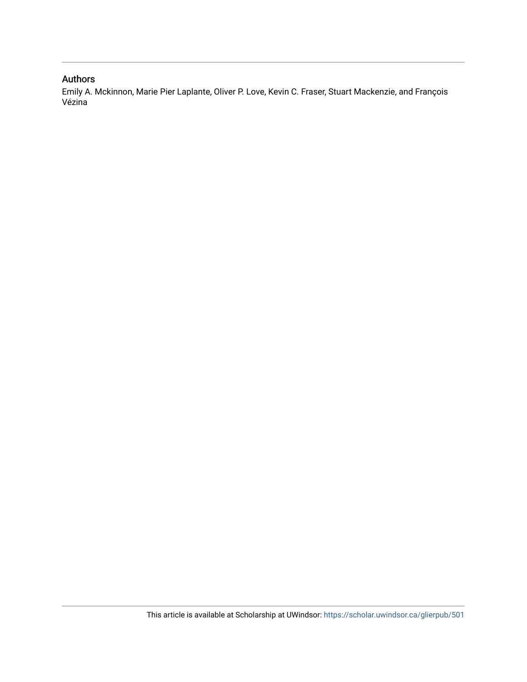# Authors

Emily A. Mckinnon, Marie Pier Laplante, Oliver P. Love, Kevin C. Fraser, Stuart Mackenzie, and François Vézina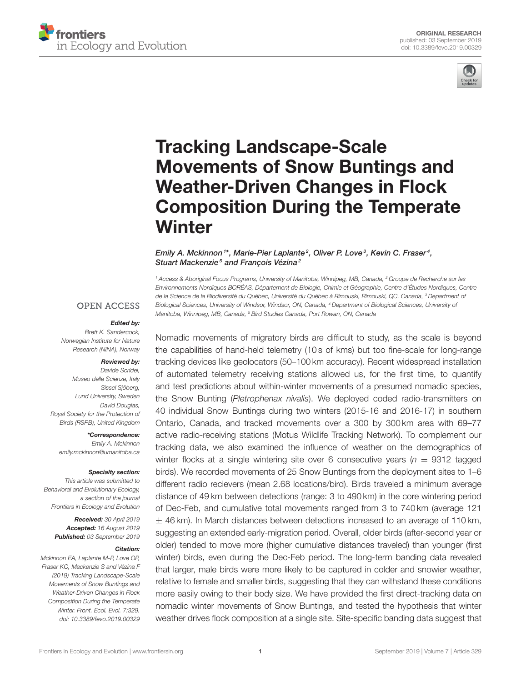



# Tracking Landscape-Scale Movements of Snow Buntings and Weather-Driven Changes in Flock [Composition During the Temperate](https://www.frontiersin.org/articles/10.3389/fevo.2019.00329/full) **Winter**

#### [Emily A. Mckinnon](http://loop.frontiersin.org/people/730251/overview) 1\*, Marie-Pier Laplante<sup>2</sup>, [Oliver P. Love](http://loop.frontiersin.org/people/36853/overview)<sup>3</sup>, [Kevin C. Fraser](http://loop.frontiersin.org/people/570580/overview)<sup>4</sup>, Stuart Mackenzie<sup>5</sup> and François Vézina<sup>2</sup>

<sup>1</sup> Access & Aboriginal Focus Programs, University of Manitoba, Winnipeg, MB, Canada, <sup>2</sup> Groupe de Recherche sur les Environnements Nordiques BORÉAS, Département de Biologie, Chimie et Géographie, Centre d'Études Nordiques, Centre de la Science de la Biodiversité du Québec, Université du Québec à Rimouski, Rimouski, QC, Canada, <sup>3</sup> Department of Biological Sciences, University of Windsor, Windsor, ON, Canada, <sup>4</sup> Department of Biological Sciences, University of Manitoba, Winnipeg, MB, Canada, <sup>5</sup> Bird Studies Canada, Port Rowan, ON, Canada

#### **OPEN ACCESS**

#### Edited by:

Brett K. Sandercock, Norwegian Institute for Nature Research (NINA), Norway

#### Reviewed by:

Davide Scridel, Museo delle Scienze, Italy Sissel Sjöberg, Lund University, Sweden David Douglas, Royal Society for the Protection of Birds (RSPB), United Kingdom

\*Correspondence:

Emily A. Mckinnon [emily.mckinnon@umanitoba.ca](mailto:emily.mckinnon@umanitoba.ca)

#### Specialty section:

This article was submitted to Behavioral and Evolutionary Ecology, a section of the journal Frontiers in Ecology and Evolution

> Received: 30 April 2019 Accepted: 16 August 2019 Published: 03 September 2019

#### Citation:

Mckinnon EA, Laplante M-P, Love OP, Fraser KC, Mackenzie S and Vézina F (2019) Tracking Landscape-Scale Movements of Snow Buntings and Weather-Driven Changes in Flock Composition During the Temperate Winter. Front. Ecol. Evol. 7:329. doi: [10.3389/fevo.2019.00329](https://doi.org/10.3389/fevo.2019.00329) Nomadic movements of migratory birds are difficult to study, as the scale is beyond the capabilities of hand-held telemetry (10 s of kms) but too fine-scale for long-range tracking devices like geolocators (50–100 km accuracy). Recent widespread installation of automated telemetry receiving stations allowed us, for the first time, to quantify and test predictions about within-winter movements of a presumed nomadic species, the Snow Bunting (Pletrophenax nivalis). We deployed coded radio-transmitters on 40 individual Snow Buntings during two winters (2015-16 and 2016-17) in southern Ontario, Canada, and tracked movements over a 300 by 300 km area with 69–77 active radio-receiving stations (Motus Wildlife Tracking Network). To complement our tracking data, we also examined the influence of weather on the demographics of winter flocks at a single wintering site over 6 consecutive years ( $n = 9312$  tagged birds). We recorded movements of 25 Snow Buntings from the deployment sites to 1–6 different radio recievers (mean 2.68 locations/bird). Birds traveled a minimum average distance of 49 km between detections (range: 3 to 490 km) in the core wintering period of Dec-Feb, and cumulative total movements ranged from 3 to 740 km (average 121  $\pm$  46 km). In March distances between detections increased to an average of 110 km, suggesting an extended early-migration period. Overall, older birds (after-second year or older) tended to move more (higher cumulative distances traveled) than younger (first winter) birds, even during the Dec-Feb period. The long-term banding data revealed that larger, male birds were more likely to be captured in colder and snowier weather, relative to female and smaller birds, suggesting that they can withstand these conditions more easily owing to their body size. We have provided the first direct-tracking data on nomadic winter movements of Snow Buntings, and tested the hypothesis that winter weather drives flock composition at a single site. Site-specific banding data suggest that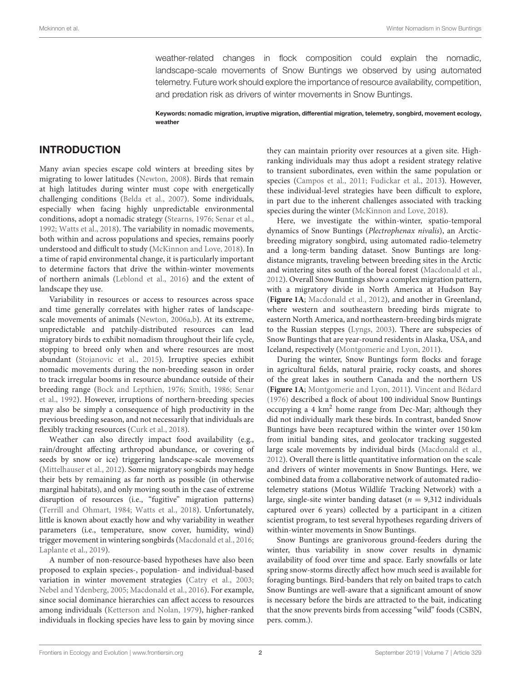weather-related changes in flock composition could explain the nomadic, landscape-scale movements of Snow Buntings we observed by using automated telemetry. Future work should explore the importance of resource availability, competition, and predation risk as drivers of winter movements in Snow Buntings.

Keywords: nomadic migration, irruptive migration, differential migration, telemetry, songbird, movement ecology, weather

## INTRODUCTION

Many avian species escape cold winters at breeding sites by migrating to lower latitudes [\(Newton, 2008\)](#page-11-0). Birds that remain at high latitudes during winter must cope with energetically challenging conditions [\(Belda et al., 2007\)](#page-10-0). Some individuals, especially when facing highly unpredictable environmental conditions, adopt a nomadic strategy [\(Stearns, 1976;](#page-11-1) [Senar et al.,](#page-11-2) [1992;](#page-11-2) [Watts et al., 2018\)](#page-12-0). The variability in nomadic movements, both within and across populations and species, remains poorly understood and difficult to study [\(McKinnon and Love, 2018\)](#page-11-3). In a time of rapid environmental change, it is particularly important to determine factors that drive the within-winter movements of northern animals [\(Leblond et al., 2016\)](#page-11-4) and the extent of landscape they use.

Variability in resources or access to resources across space and time generally correlates with higher rates of landscapescale movements of animals [\(Newton, 2006a,](#page-11-5)[b\)](#page-11-6). At its extreme, unpredictable and patchily-distributed resources can lead migratory birds to exhibit nomadism throughout their life cycle, stopping to breed only when and where resources are most abundant [\(Stojanovic et al., 2015\)](#page-11-7). Irruptive species exhibit nomadic movements during the non-breeding season in order to track irregular booms in resource abundance outside of their breeding range [\(Bock and Lepthien, 1976;](#page-10-1) [Smith, 1986;](#page-11-8) Senar et al., [1992\)](#page-11-2). However, irruptions of northern-breeding species may also be simply a consequence of high productivity in the previous breeding season, and not necessarily that individuals are flexibly tracking resources [\(Curk et al., 2018\)](#page-11-9).

Weather can also directly impact food availability (e.g., rain/drought affecting arthropod abundance, or covering of seeds by snow or ice) triggering landscape-scale movements [\(Mittelhauser et al., 2012\)](#page-11-10). Some migratory songbirds may hedge their bets by remaining as far north as possible (in otherwise marginal habitats), and only moving south in the case of extreme disruption of resources (i.e., "fugitive" migration patterns) [\(Terrill and Ohmart, 1984;](#page-12-1) [Watts et al., 2018\)](#page-12-0). Unfortunately, little is known about exactly how and why variability in weather parameters (i.e., temperature, snow cover, humidity, wind) trigger movement in wintering songbirds [\(Macdonald et al., 2016;](#page-11-11) [Laplante et al., 2019\)](#page-11-12).

A number of non-resource-based hypotheses have also been proposed to explain species-, population- and individual-based variation in winter movement strategies [\(Catry et al., 2003;](#page-11-13) [Nebel and Ydenberg, 2005;](#page-11-14) [Macdonald et al., 2016\)](#page-11-11). For example, since social dominance hierarchies can affect access to resources among individuals [\(Ketterson and Nolan, 1979\)](#page-11-15), higher-ranked individuals in flocking species have less to gain by moving since they can maintain priority over resources at a given site. Highranking individuals may thus adopt a resident strategy relative to transient subordinates, even within the same population or species [\(Campos et al., 2011;](#page-11-16) [Fudickar et al., 2013\)](#page-11-17). However, these individual-level strategies have been difficult to explore, in part due to the inherent challenges associated with tracking species during the winter [\(McKinnon and Love, 2018\)](#page-11-3).

Here, we investigate the within-winter, spatio-temporal dynamics of Snow Buntings (Plectrophenax nivalis), an Arcticbreeding migratory songbird, using automated radio-telemetry and a long-term banding dataset. Snow Buntings are longdistance migrants, traveling between breeding sites in the Arctic and wintering sites south of the boreal forest [\(Macdonald et al.,](#page-11-18) [2012\)](#page-11-18). Overall Snow Buntings show a complex migration pattern, with a migratory divide in North America at Hudson Bay (**[Figure 1A](#page-4-0)**; [Macdonald et al., 2012\)](#page-11-18), and another in Greenland, where western and southeastern breeding birds migrate to eastern North America, and northeastern-breeding birds migrate to the Russian steppes [\(Lyngs, 2003\)](#page-11-19). There are subspecies of Snow Buntings that are year-round residents in Alaska, USA, and Iceland, respectively [\(Montgomerie and Lyon, 2011\)](#page-11-20).

During the winter, Snow Buntings form flocks and forage in agricultural fields, natural prairie, rocky coasts, and shores of the great lakes in southern Canada and the northern US (**[Figure 1A](#page-4-0)**; [Montgomerie and Lyon, 2011\)](#page-11-20). [Vincent and Bédard](#page-12-2) [\(1976\)](#page-12-2) described a flock of about 100 individual Snow Buntings occupying a 4 km<sup>2</sup> home range from Dec-Mar; although they did not individually mark these birds. In contrast, banded Snow Buntings have been recaptured within the winter over 150 km from initial banding sites, and geolocator tracking suggested large scale movements by individual birds [\(Macdonald et al.,](#page-11-18) [2012\)](#page-11-18). Overall there is little quantitative information on the scale and drivers of winter movements in Snow Buntings. Here, we combined data from a collaborative network of automated radiotelemetry stations (Motus Wildlife Tracking Network) with a large, single-site winter banding dataset ( $n = 9,312$  individuals captured over 6 years) collected by a participant in a citizen scientist program, to test several hypotheses regarding drivers of within-winter movements in Snow Buntings.

Snow Buntings are granivorous ground-feeders during the winter, thus variability in snow cover results in dynamic availability of food over time and space. Early snowfalls or late spring snow-storms directly affect how much seed is available for foraging buntings. Bird-banders that rely on baited traps to catch Snow Buntings are well-aware that a significant amount of snow is necessary before the birds are attracted to the bait, indicating that the snow prevents birds from accessing "wild" foods (CSBN, pers. comm.).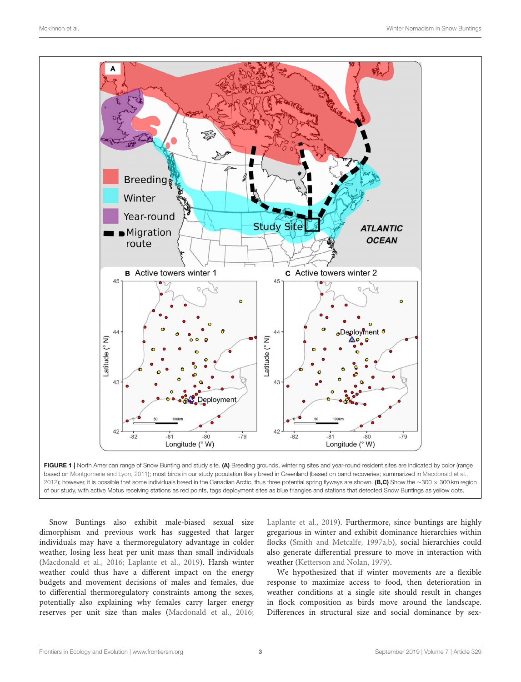

<span id="page-4-0"></span>FIGURE 1 | North American range of Snow Bunting and study site. (A) Breeding grounds, wintering sites and year-round resident sites are indicated by color (range based on [Montgomerie and Lyon, 2011\)](#page-11-20); most birds in our study population likely breed in Greenland (based on band recoveries; summarized in [Macdonald et al.,](#page-11-18) [2012\)](#page-11-18); however, it is possible that some individuals breed in the Canadian Arctic, thus three potential spring flyways are shown. (B,C) Show the ∼300 × 300 km region of our study, with active Motus receiving stations as red points, tags deployment sites as blue triangles and stations that detected Snow Buntings as yellow dots.

Snow Buntings also exhibit male-biased sexual size dimorphism and previous work has suggested that larger individuals may have a thermoregulatory advantage in colder weather, losing less heat per unit mass than small individuals [\(Macdonald et al., 2016;](#page-11-11) [Laplante et al., 2019\)](#page-11-12). Harsh winter weather could thus have a different impact on the energy budgets and movement decisions of males and females, due to differential thermoregulatory constraints among the sexes, potentially also explaining why females carry larger energy reserves per unit size than males [\(Macdonald et al., 2016;](#page-11-11) [Laplante et al., 2019\)](#page-11-12). Furthermore, since buntings are highly gregarious in winter and exhibit dominance hierarchies within flocks [\(Smith and Metcalfe, 1997a](#page-11-21)[,b\)](#page-11-22), social hierarchies could also generate differential pressure to move in interaction with weather [\(Ketterson and Nolan, 1979\)](#page-11-15).

We hypothesized that if winter movements are a flexible response to maximize access to food, then deterioration in weather conditions at a single site should result in changes in flock composition as birds move around the landscape. Differences in structural size and social dominance by sex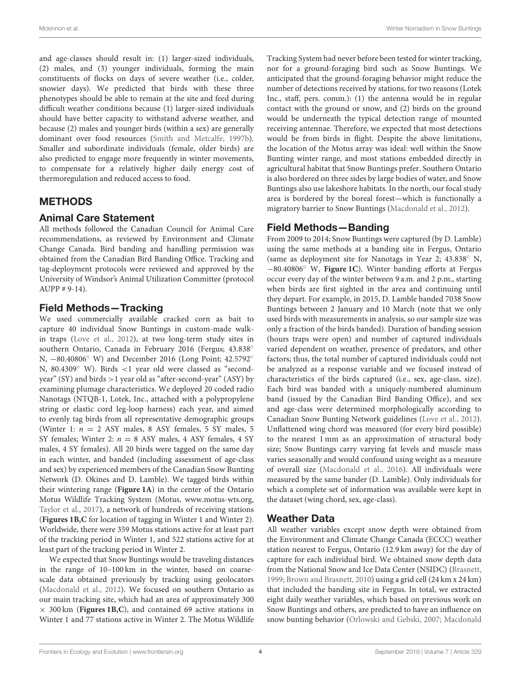and age-classes should result in: (1) larger-sized individuals, (2) males, and (3) younger individuals, forming the main constituents of flocks on days of severe weather (i.e., colder, snowier days). We predicted that birds with these three phenotypes should be able to remain at the site and feed during difficult weather conditions because (1) larger-sized individuals should have better capacity to withstand adverse weather, and because (2) males and younger birds (within a sex) are generally dominant over food resources [\(Smith and Metcalfe, 1997b\)](#page-11-22). Smaller and subordinate individuals (female, older birds) are also predicted to engage more frequently in winter movements, to compensate for a relatively higher daily energy cost of thermoregulation and reduced access to food.

## METHODS

## Animal Care Statement

All methods followed the Canadian Council for Animal Care recommendations, as reviewed by Environment and Climate Change Canada. Bird banding and handling permission was obtained from the Canadian Bird Banding Office. Tracking and tag-deployment protocols were reviewed and approved by the University of Windsor's Animal Utilization Committee (protocol AUPP # 9-14).

# Field Methods—Tracking

We used commercially available cracked corn as bait to capture 40 individual Snow Buntings in custom-made walkin traps [\(Love et al., 2012\)](#page-11-23), at two long-term study sites in southern Ontario, Canada in February 2016 (Fergus; 43.838° N, −80.40806<sup>°</sup> W) and December 2016 (Long Point; 42.5792<sup>°</sup> N, 80.4309◦ W). Birds <1 year old were classed as "secondyear" (SY) and birds >1 year old as "after-second-year" (ASY) by examining plumage characteristics. We deployed 20 coded radio Nanotags (NTQB-1, Lotek, Inc., attached with a polypropylene string or elastic cord leg-loop harness) each year, and aimed to evenly tag birds from all representative demographic groups (Winter 1:  $n = 2$  ASY males, 8 ASY females, 5 SY males, 5 SY females; Winter 2:  $n = 8$  ASY males, 4 ASY females, 4 SY males, 4 SY females). All 20 birds were tagged on the same day in each winter, and banded (including assessment of age-class and sex) by experienced members of the Canadian Snow Bunting Network (D. Okines and D. Lamble). We tagged birds within their wintering range (**[Figure 1A](#page-4-0)**) in the center of the Ontario Motus Wildlife Tracking System (Motus, [www.motus-wts.org,](https://www.motus-wts.org) [Taylor et al., 2017\)](#page-12-3), a network of hundreds of receiving stations (**[Figures 1B,C](#page-4-0)** for location of tagging in Winter 1 and Winter 2). Worldwide, there were 359 Motus stations active for at least part of the tracking period in Winter 1, and 522 stations active for at least part of the tracking period in Winter 2.

We expected that Snow Buntings would be traveling distances in the range of 10–100 km in the winter, based on coarsescale data obtained previously by tracking using geolocators [\(Macdonald et al., 2012\)](#page-11-18). We focused on southern Ontario as our main tracking site, which had an area of approximately 300 × 300 km (**[Figures 1B,C](#page-4-0)**), and contained 69 active stations in Winter 1 and 77 stations active in Winter 2. The Motus Wildlife Tracking System had never before been tested for winter tracking, nor for a ground-foraging bird such as Snow Buntings. We anticipated that the ground-foraging behavior might reduce the number of detections received by stations, for two reasons (Lotek Inc., staff, pers. comm.): (1) the antenna would be in regular contact with the ground or snow, and (2) birds on the ground would be underneath the typical detection range of mounted receiving antennae. Therefore, we expected that most detections would be from birds in flight. Despite the above limitations, the location of the Motus array was ideal: well within the Snow Bunting winter range, and most stations embedded directly in agricultural habitat that Snow Buntings prefer. Southern Ontario is also bordered on three sides by large bodies of water, and Snow Buntings also use lakeshore habitats. In the north, our focal study area is bordered by the boreal forest—which is functionally a migratory barrier to Snow Buntings [\(Macdonald et al., 2012\)](#page-11-18).

#### Field Methods—Banding

From 2009 to 2014; Snow Buntings were captured (by D. Lamble) using the same methods at a banding site in Fergus, Ontario (same as deployment site for Nanotags in Year 2; 43.838◦ N, −80.40806◦ W, **[Figure 1C](#page-4-0)**). Winter banding efforts at Fergus occur every day of the winter between 9 a.m. and 2 p.m., starting when birds are first sighted in the area and continuing until they depart. For example, in 2015, D. Lamble banded 7038 Snow Buntings between 2 January and 10 March (note that we only used birds with measurements in analysis, so our sample size was only a fraction of the birds banded). Duration of banding session (hours traps were open) and number of captured individuals varied dependent on weather, presence of predators, and other factors; thus, the total number of captured individuals could not be analyzed as a response variable and we focused instead of characteristics of the birds captured (i.e., sex, age-class, size). Each bird was banded with a uniquely-numbered aluminum band (issued by the Canadian Bird Banding Office), and sex and age-class were determined morphologically according to Canadian Snow Bunting Network guidelines [\(Love et al., 2012\)](#page-11-23). Unflattened wing chord was measured (for every bird possible) to the nearest 1 mm as an approximation of structural body size; Snow Buntings carry varying fat levels and muscle mass varies seasonally and would confound using weight as a measure of overall size [\(Macdonald et al., 2016\)](#page-11-11). All individuals were measured by the same bander (D. Lamble). Only individuals for which a complete set of information was available were kept in the dataset (wing chord, sex, age-class).

# Weather Data

All weather variables except snow depth were obtained from the Environment and Climate Change Canada (ECCC) weather station nearest to Fergus, Ontario (12.9 km away) for the day of capture for each individual bird. We obtained snow depth data from the National Snow and Ice Data Center (NSIDC) [\(Brasnett,](#page-10-2) [1999;](#page-10-2) [Brown and Brasnett, 2010\)](#page-10-3) using a grid cell (24 km x 24 km) that included the banding site in Fergus. In total, we extracted eight daily weather variables, which based on previous work on Snow Buntings and others, are predicted to have an influence on snow bunting behavior [\(Orlowski and Gebski, 2007;](#page-11-24) Macdonald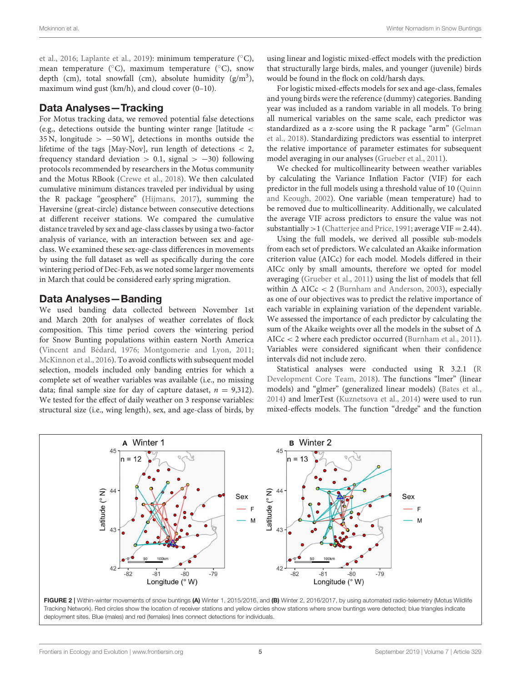et al., [2016;](#page-11-11) [Laplante et al., 2019\)](#page-11-12): minimum temperature (◦C), mean temperature ( $°C$ ), maximum temperature ( $°C$ ), snow depth (cm), total snowfall (cm), absolute humidity  $(g/m^3)$ , maximum wind gust (km/h), and cloud cover (0–10).

#### Data Analyses—Tracking

For Motus tracking data, we removed potential false detections (e.g., detections outside the bunting winter range [latitude < 35 N, longitude >  $-50$  W], detections in months outside the lifetime of the tags [May-Nov], run length of detections < 2, frequency standard deviation  $> 0.1$ , signal  $> -30$ ) following protocols recommended by researchers in the Motus community and the Motus RBook [\(Crewe et al., 2018\)](#page-11-25). We then calculated cumulative minimum distances traveled per individual by using the R package "geosphere" [\(Hijmans, 2017\)](#page-11-26), summing the Haversine (great-circle) distance between consecutive detections at different receiver stations. We compared the cumulative distance traveled by sex and age-class classes by using a two-factor analysis of variance, with an interaction between sex and ageclass. We examined these sex-age-class differences in movements by using the full dataset as well as specifically during the core wintering period of Dec-Feb, as we noted some larger movements in March that could be considered early spring migration.

## Data Analyses—Banding

We used banding data collected between November 1st and March 20th for analyses of weather correlates of flock composition. This time period covers the wintering period for Snow Bunting populations within eastern North America [\(Vincent and Bédard, 1976;](#page-12-2) [Montgomerie and Lyon, 2011;](#page-11-20) [McKinnon et al., 2016\)](#page-11-27). To avoid conflicts with subsequent model selection, models included only banding entries for which a complete set of weather variables was available (i.e., no missing data; final sample size for day of capture dataset,  $n = 9,312$ . We tested for the effect of daily weather on 3 response variables: structural size (i.e., wing length), sex, and age-class of birds, by using linear and logistic mixed-effect models with the prediction that structurally large birds, males, and younger (juvenile) birds would be found in the flock on cold/harsh days.

For logistic mixed-effects models for sex and age-class, females and young birds were the reference (dummy) categories. Banding year was included as a random variable in all models. To bring all numerical variables on the same scale, each predictor was standardized as a z-score using the R package "arm" (Gelman et al., [2018\)](#page-11-28). Standardizing predictors was essential to interpret the relative importance of parameter estimates for subsequent model averaging in our analyses [\(Grueber et al., 2011\)](#page-11-29).

We checked for multicollinearity between weather variables by calculating the Variance Inflation Factor (VIF) for each predictor in the full models using a threshold value of 10 (Quinn and Keough, [2002\)](#page-11-30). One variable (mean temperature) had to be removed due to multicollinearity. Additionally, we calculated the average VIF across predictors to ensure the value was not substantially  $>1$  [\(Chatterjee and Price, 1991;](#page-11-31) average VIF = 2.44).

Using the full models, we derived all possible sub-models from each set of predictors. We calculated an Akaike information criterion value (AICc) for each model. Models differed in their AICc only by small amounts, therefore we opted for model averaging [\(Grueber et al., 2011\)](#page-11-29) using the list of models that fell within  $\Delta$  AICc < 2 [\(Burnham and Anderson, 2003\)](#page-10-4), especially as one of our objectives was to predict the relative importance of each variable in explaining variation of the dependent variable. We assessed the importance of each predictor by calculating the sum of the Akaike weights over all the models in the subset of  $\Delta$ AICc < 2 where each predictor occurred [\(Burnham et al., 2011\)](#page-10-5). Variables were considered significant when their confidence intervals did not include zero.

Statistical analyses were conducted using R 3.2.1 (R Development Core Team, [2018\)](#page-11-32). The functions "lmer" (linear models) and "glmer" (generalized linear models) [\(Bates et al.,](#page-10-6) [2014\)](#page-10-6) and lmerTest [\(Kuznetsova et al., 2014\)](#page-11-33) were used to run mixed-effects models. The function "dredge" and the function

<span id="page-6-0"></span>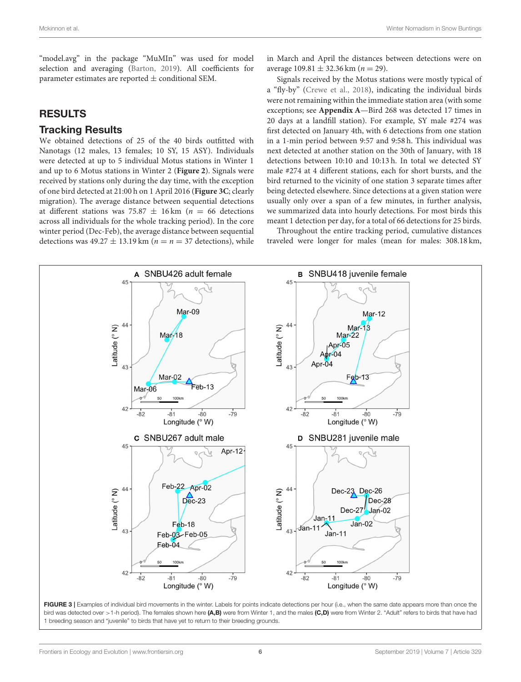"model.avg" in the package "MuMIn" was used for model selection and averaging [\(Barton, 2019\)](#page-10-7). All coefficients for parameter estimates are reported  $\pm$  conditional SEM.

#### RESULTS

#### Tracking Results

We obtained detections of 25 of the 40 birds outfitted with Nanotags (12 males, 13 females; 10 SY, 15 ASY). Individuals were detected at up to 5 individual Motus stations in Winter 1 and up to 6 Motus stations in Winter 2 (**[Figure 2](#page-6-0)**). Signals were received by stations only during the day time, with the exception of one bird detected at 21:00 h on 1 April 2016 (**[Figure 3C](#page-7-0)**; clearly migration). The average distance between sequential detections at different stations was 75.87  $\pm$  16 km (n = 66 detections across all individuals for the whole tracking period). In the core winter period (Dec-Feb), the average distance between sequential detections was  $49.27 \pm 13.19$  km ( $n = n = 37$  detections), while in March and April the distances between detections were on average  $109.81 \pm 32.36$  km ( $n = 29$ ).

Signals received by the Motus stations were mostly typical of a "fly-by" [\(Crewe et al., 2018\)](#page-11-25), indicating the individual birds were not remaining within the immediate station area (with some exceptions; see **[Appendix A](#page-10-8)**—Bird 268 was detected 17 times in 20 days at a landfill station). For example, SY male #274 was first detected on January 4th, with 6 detections from one station in a 1-min period between 9:57 and 9:58 h. This individual was next detected at another station on the 30th of January, with 18 detections between 10:10 and 10:13 h. In total we detected SY male #274 at 4 different stations, each for short bursts, and the bird returned to the vicinity of one station 3 separate times after being detected elsewhere. Since detections at a given station were usually only over a span of a few minutes, in further analysis, we summarized data into hourly detections. For most birds this meant 1 detection per day, for a total of 66 detections for 25 birds.

Throughout the entire tracking period, cumulative distances traveled were longer for males (mean for males: 308.18 km,

<span id="page-7-0"></span>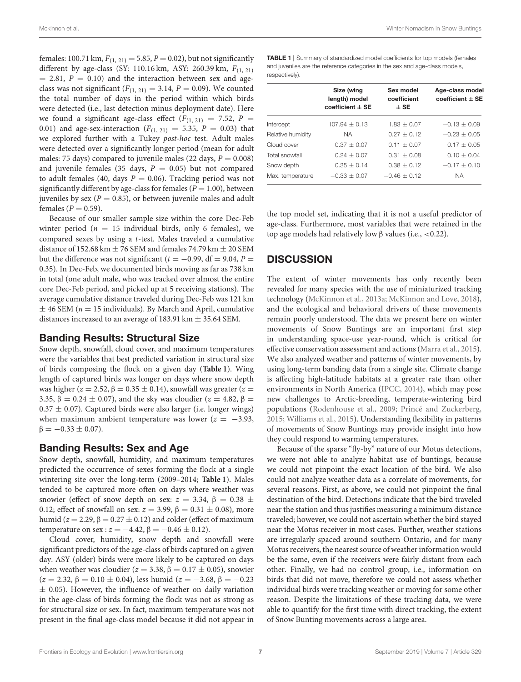females: 100.71 km,  $F_{(1, 21)} = 5.85$ ,  $P = 0.02$ ), but not significantly different by age-class (SY: 110.16 km, ASY: 260.39 km,  $F_{(1, 21)}$ )  $= 2.81, P = 0.10$  and the interaction between sex and ageclass was not significant  $(F_{(1, 21)} = 3.14, P = 0.09)$ . We counted the total number of days in the period within which birds were detected (i.e., last detection minus deployment date). Here we found a significant age-class effect  $(F_{(1, 21)} = 7.52, P =$ 0.01) and age-sex-interaction  $(F_{(1, 21)} = 5.35, P = 0.03)$  that we explored further with a Tukey post-hoc test. Adult males were detected over a significantly longer period (mean for adult males: 75 days) compared to juvenile males (22 days,  $P = 0.008$ ) and juvenile females (35 days,  $P = 0.05$ ) but not compared to adult females (40, days  $P = 0.06$ ). Tracking period was not significantly different by age-class for females ( $P = 1.00$ ), between juveniles by sex ( $P = 0.85$ ), or between juvenile males and adult females ( $P = 0.59$ ).

Because of our smaller sample size within the core Dec-Feb winter period ( $n = 15$  individual birds, only 6 females), we compared sexes by using a t-test. Males traveled a cumulative distance of 152.68 km  $\pm$  76 SEM and females 74.79 km  $\pm$  20 SEM but the difference was not significant ( $t = -0.99$ , df = 9.04, P = 0.35). In Dec-Feb, we documented birds moving as far as 738 km in total (one adult male, who was tracked over almost the entire core Dec-Feb period, and picked up at 5 receiving stations). The average cumulative distance traveled during Dec-Feb was 121 km  $\pm$  46 SEM ( $n = 15$  individuals). By March and April, cumulative distances increased to an average of 183.91 km  $\pm$  35.64 SEM.

#### Banding Results: Structural Size

Snow depth, snowfall, cloud cover, and maximum temperatures were the variables that best predicted variation in structural size of birds composing the flock on a given day (**[Table 1](#page-8-0)**). Wing length of captured birds was longer on days where snow depth was higher ( $z = 2.52$ ,  $\beta = 0.35 \pm 0.14$ ), snowfall was greater ( $z =$ 3.35,  $\beta = 0.24 \pm 0.07$ ), and the sky was cloudier ( $z = 4.82$ ,  $\beta =$  $0.37 \pm 0.07$ ). Captured birds were also larger (i.e. longer wings) when maximum ambient temperature was lower ( $z = -3.93$ ,  $\beta = -0.33 \pm 0.07$ ).

#### Banding Results: Sex and Age

Snow depth, snowfall, humidity, and maximum temperatures predicted the occurrence of sexes forming the flock at a single wintering site over the long-term (2009–2014; **[Table 1](#page-8-0)**). Males tended to be captured more often on days where weather was snowier (effect of snow depth on sex:  $z = 3.34$ ,  $\beta = 0.38 \pm$ 0.12; effect of snowfall on sex:  $z = 3.99$ ,  $\beta = 0.31 \pm 0.08$ ), more humid ( $z = 2.29$ ,  $\beta = 0.27 \pm 0.12$ ) and colder (effect of maximum temperature on sex :  $z = -4.42$ ,  $\beta = -0.46 \pm 0.12$ ).

Cloud cover, humidity, snow depth and snowfall were significant predictors of the age-class of birds captured on a given day. ASY (older) birds were more likely to be captured on days when weather was cloudier ( $z = 3.38$ ,  $\beta = 0.17 \pm 0.05$ ), snowier  $(z = 2.32, \beta = 0.10 \pm 0.04)$ , less humid  $(z = -3.68, \beta = -0.23)$  $\pm$  0.05). However, the influence of weather on daily variation in the age-class of birds forming the flock was not as strong as for structural size or sex. In fact, maximum temperature was not present in the final age-class model because it did not appear in <span id="page-8-0"></span>TABLE 1 | Summary of standardized model coefficients for top models (females and juveniles are the reference categories in the sex and age-class models, respectively).

|                   | Size (wing<br>length) model<br>coefficient $\pm$ SE | Sex model<br>coefficient<br>$±$ SE | Age-class model<br>$coefficient \pm SE$ |
|-------------------|-----------------------------------------------------|------------------------------------|-----------------------------------------|
| Intercept         | $107.94 \pm 0.13$                                   | $1.83 + 0.07$                      | $-0.13 + 0.09$                          |
| Relative humidity | <b>NA</b>                                           | $0.27 + 0.12$                      | $-0.23 + 0.05$                          |
| Cloud cover       | $0.37 + 0.07$                                       | $0.11 + 0.07$                      | $0.17 + 0.05$                           |
| Total snowfall    | $0.24 + 0.07$                                       | $0.31 + 0.08$                      | $0.10 + 0.04$                           |
| Snow depth        | $0.35 + 0.14$                                       | $0.38 + 0.12$                      | $-0.17 + 0.10$                          |
| Max. temperature  | $-0.33 + 0.07$                                      | $-0.46 + 0.12$                     | <b>NA</b>                               |
|                   |                                                     |                                    |                                         |

the top model set, indicating that it is not a useful predictor of age-class. Furthermore, most variables that were retained in the top age models had relatively low β values (i.e., <0.22).

## **DISCUSSION**

The extent of winter movements has only recently been revealed for many species with the use of miniaturized tracking technology [\(McKinnon et al., 2013a;](#page-11-34) [McKinnon and Love, 2018\)](#page-11-3), and the ecological and behavioral drivers of these movements remain poorly understood. The data we present here on winter movements of Snow Buntings are an important first step in understanding space-use year-round, which is critical for effective conservation assessment and actions [\(Marra et al., 2015\)](#page-11-35). We also analyzed weather and patterns of winter movements, by using long-term banding data from a single site. Climate change is affecting high-latitude habitats at a greater rate than other environments in North America [\(IPCC, 2014\)](#page-11-36), which may pose new challenges to Arctic-breeding, temperate-wintering bird populations [\(Rodenhouse et al., 2009;](#page-11-37) [Princé and Zuckerberg,](#page-11-38) [2015;](#page-11-38) [Williams et al., 2015\)](#page-12-4). Understanding flexibility in patterns of movements of Snow Buntings may provide insight into how they could respond to warming temperatures.

Because of the sparse "fly-by" nature of our Motus detections, we were not able to analyze habitat use of buntings, because we could not pinpoint the exact location of the bird. We also could not analyze weather data as a correlate of movements, for several reasons. First, as above, we could not pinpoint the final destination of the bird. Detections indicate that the bird traveled near the station and thus justifies measuring a minimum distance traveled; however, we could not ascertain whether the bird stayed near the Motus receiver in most cases. Further, weather stations are irregularly spaced around southern Ontario, and for many Motus receivers, the nearest source of weather information would be the same, even if the receivers were fairly distant from each other. Finally, we had no control group, i.e., information on birds that did not move, therefore we could not assess whether individual birds were tracking weather or moving for some other reason. Despite the limitations of these tracking data, we were able to quantify for the first time with direct tracking, the extent of Snow Bunting movements across a large area.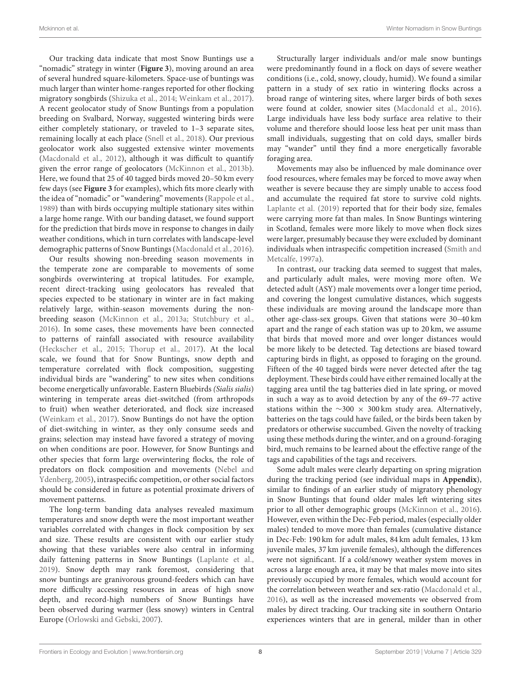Our tracking data indicate that most Snow Buntings use a "nomadic" strategy in winter (**[Figure 3](#page-7-0)**), moving around an area of several hundred square-kilometers. Space-use of buntings was much larger than winter home-ranges reported for other flocking migratory songbirds [\(Shizuka et al., 2014;](#page-11-39) [Weinkam et al., 2017\)](#page-12-5). A recent geolocator study of Snow Buntings from a population breeding on Svalbard, Norway, suggested wintering birds were either completely stationary, or traveled to 1–3 separate sites, remaining locally at each place [\(Snell et al., 2018\)](#page-11-40). Our previous geolocator work also suggested extensive winter movements [\(Macdonald et al., 2012\)](#page-11-18), although it was difficult to quantify given the error range of geolocators [\(McKinnon et al., 2013b\)](#page-11-41). Here, we found that 25 of 40 tagged birds moved 20–50 km every few days (see **[Figure 3](#page-7-0)** for examples), which fits more clearly with the idea of "nomadic" or "wandering" movements [\(Rappole et al.,](#page-11-42) [1989\)](#page-11-42) than with birds occupying multiple stationary sites within a large home range. With our banding dataset, we found support for the prediction that birds move in response to changes in daily weather conditions, which in turn correlates with landscape-level demographic patterns of Snow Buntings [\(Macdonald et al., 2016\)](#page-11-11).

Our results showing non-breeding season movements in the temperate zone are comparable to movements of some songbirds overwintering at tropical latitudes. For example, recent direct-tracking using geolocators has revealed that species expected to be stationary in winter are in fact making relatively large, within-season movements during the nonbreeding season [\(McKinnon et al., 2013a;](#page-11-34) [Stutchbury et al.,](#page-12-6) [2016\)](#page-12-6). In some cases, these movements have been connected to patterns of rainfall associated with resource availability [\(Heckscher et al., 2015;](#page-11-43) [Thorup et al., 2017\)](#page-12-7). At the local scale, we found that for Snow Buntings, snow depth and temperature correlated with flock composition, suggesting individual birds are "wandering" to new sites when conditions become energetically unfavorable. Eastern Bluebirds (Sialis sialis) wintering in temperate areas diet-switched (from arthropods to fruit) when weather deteriorated, and flock size increased [\(Weinkam et al., 2017\)](#page-12-5). Snow Buntings do not have the option of diet-switching in winter, as they only consume seeds and grains; selection may instead have favored a strategy of moving on when conditions are poor. However, for Snow Buntings and other species that form large overwintering flocks, the role of predators on flock composition and movements (Nebel and Ydenberg, [2005\)](#page-11-14), intraspecific competition, or other social factors should be considered in future as potential proximate drivers of movement patterns.

The long-term banding data analyses revealed maximum temperatures and snow depth were the most important weather variables correlated with changes in flock composition by sex and size. These results are consistent with our earlier study showing that these variables were also central in informing daily fattening patterns in Snow Buntings [\(Laplante et al.,](#page-11-12) [2019\)](#page-11-12). Snow depth may rank foremost, considering that snow buntings are granivorous ground-feeders which can have more difficulty accessing resources in areas of high snow depth, and record-high numbers of Snow Buntings have been observed during warmer (less snowy) winters in Central Europe [\(Orlowski and Gebski, 2007\)](#page-11-24).

Structurally larger individuals and/or male snow buntings were predominantly found in a flock on days of severe weather conditions (i.e., cold, snowy, cloudy, humid). We found a similar pattern in a study of sex ratio in wintering flocks across a broad range of wintering sites, where larger birds of both sexes were found at colder, snowier sites [\(Macdonald et al., 2016\)](#page-11-11). Large individuals have less body surface area relative to their volume and therefore should loose less heat per unit mass than small individuals, suggesting that on cold days, smaller birds may "wander" until they find a more energetically favorable foraging area.

Movements may also be influenced by male dominance over food resources, where females may be forced to move away when weather is severe because they are simply unable to access food and accumulate the required fat store to survive cold nights. [Laplante et al. \(2019\)](#page-11-12) reported that for their body size, females were carrying more fat than males. In Snow Buntings wintering in Scotland, females were more likely to move when flock sizes were larger, presumably because they were excluded by dominant individuals when intraspecific competition increased (Smith and Metcalfe, [1997a\)](#page-11-21).

In contrast, our tracking data seemed to suggest that males, and particularly adult males, were moving more often. We detected adult (ASY) male movements over a longer time period, and covering the longest cumulative distances, which suggests these individuals are moving around the landscape more than other age-class-sex groups. Given that stations were 30–40 km apart and the range of each station was up to 20 km, we assume that birds that moved more and over longer distances would be more likely to be detected. Tag detections are biased toward capturing birds in flight, as opposed to foraging on the ground. Fifteen of the 40 tagged birds were never detected after the tag deployment. These birds could have either remained locally at the tagging area until the tag batteries died in late spring, or moved in such a way as to avoid detection by any of the 69–77 active stations within the  $\sim$ 300 × 300 km study area. Alternatively, batteries on the tags could have failed, or the birds been taken by predators or otherwise succumbed. Given the novelty of tracking using these methods during the winter, and on a ground-foraging bird, much remains to be learned about the effective range of the tags and capabilities of the tags and receivers.

Some adult males were clearly departing on spring migration during the tracking period (see individual maps in **[Appendix](#page-10-8)**), similar to findings of an earlier study of migratory phenology in Snow Buntings that found older males left wintering sites prior to all other demographic groups [\(McKinnon et al., 2016\)](#page-11-27). However, even within the Dec-Feb period, males (especially older males) tended to move more than females (cumulative distance in Dec-Feb: 190 km for adult males, 84 km adult females, 13 km juvenile males, 37 km juvenile females), although the differences were not significant. If a cold/snowy weather system moves in across a large enough area, it may be that males move into sites previously occupied by more females, which would account for the correlation between weather and sex-ratio [\(Macdonald et al.,](#page-11-11) [2016\)](#page-11-11), as well as the increased movements we observed from males by direct tracking. Our tracking site in southern Ontario experiences winters that are in general, milder than in other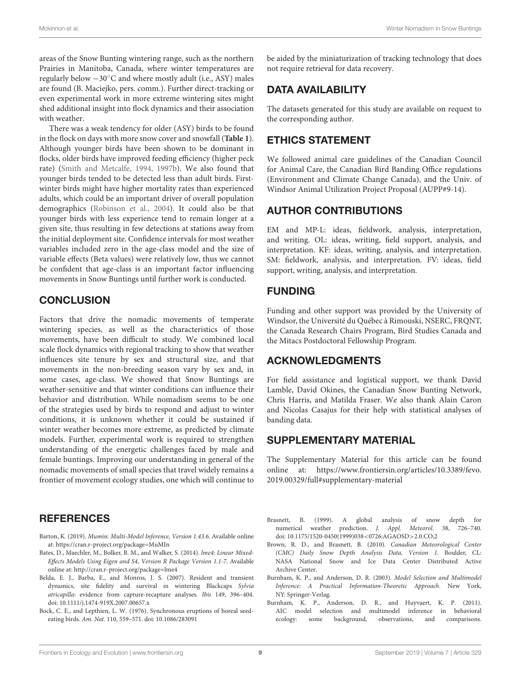areas of the Snow Bunting wintering range, such as the northern Prairies in Manitoba, Canada, where winter temperatures are regularly below −30◦C and where mostly adult (i.e., ASY) males are found (B. Maciejko, pers. comm.). Further direct-tracking or even experimental work in more extreme wintering sites might shed additional insight into flock dynamics and their association with weather.

There was a weak tendency for older (ASY) birds to be found in the flock on days with more snow cover and snowfall (**[Table 1](#page-8-0)**). Although younger birds have been shown to be dominant in flocks, older birds have improved feeding efficiency (higher peck rate) [\(Smith and Metcalfe, 1994,](#page-11-44) [1997b\)](#page-11-22). We also found that younger birds tended to be detected less than adult birds. Firstwinter birds might have higher mortality rates than experienced adults, which could be an important driver of overall population demographics [\(Robinson et al., 2004\)](#page-11-45). It could also be that younger birds with less experience tend to remain longer at a given site, thus resulting in few detections at stations away from the initial deployment site. Confidence intervals for most weather variables included zero in the age-class model and the size of variable effects (Beta values) were relatively low, thus we cannot be confident that age-class is an important factor influencing movements in Snow Buntings until further work is conducted.

# **CONCLUSION**

Factors that drive the nomadic movements of temperate wintering species, as well as the characteristics of those movements, have been difficult to study. We combined local scale flock dynamics with regional tracking to show that weather influences site tenure by sex and structural size, and that movements in the non-breeding season vary by sex and, in some cases, age-class. We showed that Snow Buntings are weather-sensitive and that winter conditions can influence their behavior and distribution. While nomadism seems to be one of the strategies used by birds to respond and adjust to winter conditions, it is unknown whether it could be sustained if winter weather becomes more extreme, as predicted by climate models. Further, experimental work is required to strengthen understanding of the energetic challenges faced by male and female buntings. Improving our understanding in general of the nomadic movements of small species that travel widely remains a frontier of movement ecology studies, one which will continue to

# **REFERENCES**

- <span id="page-10-7"></span>Barton, K. (2019). Mumin: Multi-Model Inference, Version 1.43.6. Available online at:<https://cran.r-project.org/package=MuMIn>
- <span id="page-10-6"></span>Bates, D., Maechler, M., Bolker, B. M., and Walker, S. (2014). lme4: Linear Mixed-Effects Models Using Eigen and S4, Version R Package Version 1.1-7. Available online at:<http://cran.r-project.org/package=lme4>
- <span id="page-10-0"></span>Belda, E. J., Barba, E., and Monros, J. S. (2007). Resident and transient dynamics, site fidelity and survival in wintering Blackcaps Sylvia atricapilla: evidence from capture-recapture analyses. Ibis 149, 396–404. doi: [10.1111/j.1474-919X.2007.00657.x](https://doi.org/10.1111/j.1474-919X.2007.00657.x)
- <span id="page-10-1"></span>Bock, C. E., and Lepthien, L. W. (1976). Synchronous eruptions of boreal seedeating birds. Am. Nat. 110, 559–571. doi: [10.1086/283091](https://doi.org/10.1086/283091)

be aided by the miniaturization of tracking technology that does not require retrieval for data recovery.

# DATA AVAILABILITY

The datasets generated for this study are available on request to the corresponding author.

# ETHICS STATEMENT

We followed animal care guidelines of the Canadian Council for Animal Care, the Canadian Bird Banding Office regulations (Environment and Climate Change Canada), and the Univ. of Windsor Animal Utilization Project Proposal (AUPP#9-14).

# AUTHOR CONTRIBUTIONS

EM and MP-L: ideas, fieldwork, analysis, interpretation, and writing. OL: ideas, writing, field support, analysis, and interpretation. KF: ideas, writing, analysis, and interpretation. SM: fieldwork, analysis, and interpretation. FV: ideas, field support, writing, analysis, and interpretation.

# FUNDING

Funding and other support was provided by the University of Windsor, the Université du Québec à Rimouski, NSERC, FRQNT, the Canada Research Chairs Program, Bird Studies Canada and the Mitacs Postdoctoral Fellowship Program.

## ACKNOWLEDGMENTS

For field assistance and logistical support, we thank David Lamble, David Okines, the Canadian Snow Bunting Network, Chris Harris, and Matilda Fraser. We also thank Alain Caron and Nicolas Casajus for their help with statistical analyses of banding data.

# SUPPLEMENTARY MATERIAL

<span id="page-10-8"></span>The Supplementary Material for this article can be found [online at: https://www.frontiersin.org/articles/10.3389/fevo.](https://www.frontiersin.org/articles/10.3389/fevo.2019.00329/full#supplementary-material) 2019.00329/full#supplementary-material

- <span id="page-10-2"></span>Brasnett, B. (1999). A global analysis of snow depth for numerical weather prediction. J. Appl. Meteorol. 38, 726-740. doi: [10.1175/1520-0450\(1999\)038](https://doi.org/10.1175/1520-0450(1999)038$<$0726:AGAOSD$>$2.0.CO;2)<0726:AGAOSD>2.0.CO;2
- <span id="page-10-3"></span>Brown, R. D., and Brasnett, B. (2010). Canadian Meteorological Center (CMC) Daily Snow Depth Analysis Data, Version 1. Boulder, CL: NASA National Snow and Ice Data Center Distributed Active Archive Center.
- <span id="page-10-4"></span>Burnham, K. P., and Anderson, D. R. (2003). Model Selection and Multimodel Inference: A Practical Information-Theoretic Approach. New York, NY: Springer-Verlag.
- <span id="page-10-5"></span>Burnham, K. P., Anderson, D. R., and Huyvaert, K. P. (2011). AIC model selection and multimodel inference in behavioral ecology: some background, observations, and comparisons.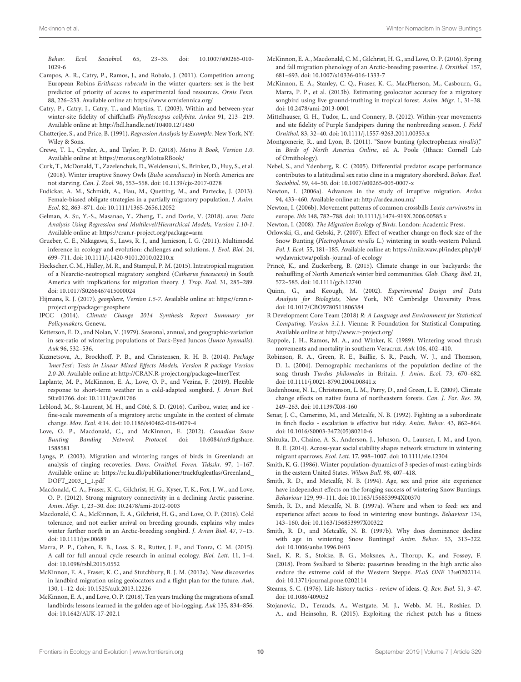Behav. Ecol. Sociobiol. [65, 23–35. doi: 10.1007/s00265-010-](https://doi.org/10.1007/s00265-010-1029-6) 1029-6

- <span id="page-11-16"></span>Campos, A. R., Catry, P., Ramos, J., and Robalo, J. (2011). Competition among European Robins Erithacus rubecula in the winter quarters: sex is the best predictor of priority of access to experimental food resources. Ornis Fenn. 88, 226–233. Available online at:<https://www.ornisfennica.org/>
- <span id="page-11-13"></span>Catry, P., Catry, I., Catry, T., and Martins, T. (2003). Within and between-year winter-site fidelity of chiffchaffs Phylloscopus collybita. Ardea 91, 213−219. Available online at:<http://hdl.handle.net/10400.12/1450>
- <span id="page-11-31"></span>Chatterjee, S., and Price, B. (1991). Regression Analysis by Example. New York, NY: Wiley & Sons.
- <span id="page-11-25"></span>Crewe, T. L., Crysler, A., and Taylor, P. D. (2018). Motus R Book, Version 1.0. Available online at:<https://motus.org/MotusRBook/>
- <span id="page-11-9"></span>Curk, T., McDonald, T., Zazelenchuk, D., Weidensaul, S., Brinker, D., Huy, S., et al. (2018). Winter irruptive Snowy Owls (Bubo scandiacus) in North America are not starving. Can. J. Zool. 96, 553–558. doi: [10.1139/cjz-2017-0278](https://doi.org/10.1139/cjz-2017-0278)
- <span id="page-11-17"></span>Fudickar, A. M., Schmidt, A., Hau, M., Quetting, M., and Partecke, J. (2013). Female-biased obligate strategies in a partially migratory population. J. Anim. Ecol. 82, 863–871. doi: [10.1111/1365-2656.12052](https://doi.org/10.1111/1365-2656.12052)
- <span id="page-11-28"></span>Gelman, A. Su, Y.-S., Masanao, Y., Zheng, T., and Dorie, V. (2018). arm: Data Analysis Using Regression and Multilevel/Hierarchical Models, Version 1.10-1. Available online at:<https://cran.r-project.org/package=arm>
- <span id="page-11-29"></span>Grueber, C. E., Nakagawa, S., Laws, R. J., and Jamieson, I. G. (2011). Multimodel inference in ecology and evolution: challenges and solutions. J. Evol. Biol. 24, 699–711. doi: [10.1111/j.1420-9101.2010.02210.x](https://doi.org/10.1111/j.1420-9101.2010.02210.x)
- <span id="page-11-43"></span>Heckscher, C. M., Halley, M. R., and Stampul, P. M. (2015). Intratropical migration of a Nearctic-neotropical migratory songbird (Catharus fuscescens) in South America with implications for migration theory. J. Trop. Ecol. 31, 285–289. doi: [10.1017/S0266467415000024](https://doi.org/10.1017/S0266467415000024)
- <span id="page-11-26"></span>Hijmans, R. J. (2017). geosphere, Version 1.5-7. Available online at: [https://cran.r](https://cran.r-project.org/package=geosphere)[project.org/package=geosphere](https://cran.r-project.org/package=geosphere)
- <span id="page-11-36"></span>IPCC (2014). Climate Change 2014 Synthesis Report Summary for Policymakers. Geneva.
- <span id="page-11-15"></span>Ketterson, E. D., and Nolan, V. (1979). Seasonal, annual, and geographic-variation in sex-ratio of wintering populations of Dark-Eyed Juncos (Junco hyemalis). Auk 96, 532–536.
- <span id="page-11-33"></span>Kuznetsova, A., Brockhoff, P. B., and Christensen, R. H. B. (2014). Package 'lmerTest': Tests in Linear Mixed Effects Models, Version R package Version 2.0-20. Available online at:<http://CRAN.R-project.org/package=lmerTest>
- <span id="page-11-12"></span>Laplante, M. P., McKinnon, E. A., Love, O. P., and Vezina, F. (2019). Flexible response to short-term weather in a cold-adapted songbird. J. Avian Biol. 50:e01766. doi: [10.1111/jav.01766](https://doi.org/10.1111/jav.01766)
- <span id="page-11-4"></span>Leblond, M., St-Laurent, M. H., and Côté, S. D. (2016). Caribou, water, and ice fine-scale movements of a migratory arctic ungulate in the context of climate change. Mov. Ecol. 4:14. doi: [10.1186/s40462-016-0079-4](https://doi.org/10.1186/s40462-016-0079-4)
- <span id="page-11-23"></span>Love, O. P., Macdonald, C., and McKinnon, E. (2012). Canadian Snow [Bunting Banding Network Protocol.](https://doi.org/10.6084/m9.figshare.1588581) doi: 10.6084/m9.figshare. 1588581
- <span id="page-11-19"></span>Lyngs, P. (2003). Migration and wintering ranges of birds in Greenland: an analysis of ringing recoveries. Dans. Ornithol. Foren. Tidsskr. 97, 1–167. Available online at: [https://rc.ku.dk/publikationer/traekfugleatlas/Greenland\\_](https://rc.ku.dk/publikationer/traekfugleatlas/Greenland_DOFT_2003_1_1.pdf) [DOFT\\_2003\\_1\\_1.pdf](https://rc.ku.dk/publikationer/traekfugleatlas/Greenland_DOFT_2003_1_1.pdf)
- <span id="page-11-18"></span>Macdonald, C. A., Fraser, K. C., Gilchrist, H. G., Kyser, T. K., Fox, J. W., and Love, O. P. (2012). Strong migratory connectivity in a declining Arctic passerine. Anim. Migr. 1, 23–30. doi: [10.2478/ami-2012-0003](https://doi.org/10.2478/ami-2012-0003)
- <span id="page-11-11"></span>Macdonald, C. A., McKinnon, E. A., Gilchrist, H. G., and Love, O. P. (2016). Cold tolerance, and not earlier arrival on breeding grounds, explains why males winter further north in an Arctic-breeding songbird. J. Avian Biol. 47, 7–15. doi: [10.1111/jav.00689](https://doi.org/10.1111/jav.00689)
- <span id="page-11-35"></span>Marra, P. P., Cohen, E. B., Loss, S. R., Rutter, J. E., and Tonra, C. M. (2015). A call for full annual cycle research in animal ecology. Biol. Lett. 11, 1–4. doi: [10.1098/rsbl.2015.0552](https://doi.org/10.1098/rsbl.2015.0552)
- <span id="page-11-34"></span>McKinnon, E. A., Fraser, K. C., and Stutchbury, B. J. M. (2013a). New discoveries in landbird migration using geolocators and a flight plan for the future. Auk, 130, 1–12. doi: [10.1525/auk.2013.12226](https://doi.org/10.1525/auk.2013.12226)
- <span id="page-11-3"></span>McKinnon, E. A., and Love, O. P. (2018). Ten years tracking the migrations of small landbirds: lessons learned in the golden age of bio-logging. Auk 135, 834–856. doi: [10.1642/AUK-17-202.1](https://doi.org/10.1642/AUK-17-202.1)
- <span id="page-11-27"></span>McKinnon, E. A., Macdonald, C. M., Gilchrist, H. G., and Love, O. P. (2016). Spring and fall migration phenology of an Arctic-breeding passerine. J. Ornithol. 157, 681–693. doi: [10.1007/s10336-016-1333-7](https://doi.org/10.1007/s10336-016-1333-7)
- <span id="page-11-41"></span>McKinnon, E. A., Stanley, C. Q., Fraser, K. C., MacPherson, M., Casbourn, G., Marra, P. P., et al. (2013b). Estimating geolocator accuracy for a migratory songbird using live ground-truthing in tropical forest. Anim. Migr. 1, 31–38. doi: [10.2478/ami-2013-0001](https://doi.org/10.2478/ami-2013-0001)
- <span id="page-11-10"></span>Mittelhauser, G. H., Tudor, L., and Connery, B. (2012). Within-year movements and site fidelity of Purple Sandpipers during the nonbreeding season. J. Field Ornithol. 83, 32–40. doi: [10.1111/j.1557-9263.2011.00353.x](https://doi.org/10.1111/j.1557-9263.2011.00353.x)
- <span id="page-11-20"></span>Montgomerie, R., and Lyon, B. (2011). "Snow bunting (plectrophenax nivalis)," in Birds of North America Online, ed A. Poole (Ithaca: Cornell Lab of Ornithology).
- <span id="page-11-14"></span>Nebel, S., and Ydenberg, R. C. (2005). Differential predator escape performance contributes to a latitudinal sex ratio cline in a migratory shorebird. Behav. Ecol. Sociobiol. 59, 44–50. doi: [10.1007/s00265-005-0007-x](https://doi.org/10.1007/s00265-005-0007-x)
- <span id="page-11-5"></span>Newton, I. (2006a). Advances in the study of irruptive migration. Ardea 94, 433–460. Available online at:<http://ardea.nou.nu/>
- <span id="page-11-6"></span>Newton, I. (2006b). Movement patterns of common crossbills Loxia curvirostra in europe. Ibis 148, 782–788. doi: [10.1111/j.1474-919X.2006.00585.x](https://doi.org/10.1111/j.1474-919X.2006.00585.x)
- <span id="page-11-0"></span>Newton, I. (2008). The Migration Ecology of Birds. London: Academic Press.
- <span id="page-11-24"></span>Orlowski, G., and Gebski, P. (2007). Effect of weather change on flock size of the Snow Bunting (Plectrophenax nivalis L.) wintering in south-western Poland. Pol. J. Ecol. 55, 181–185. Available online at: [https://miiz.waw.pl/index.php/pl/](https://miiz.waw.pl/index.php/pl/wydawnictwa/polish-journal-of-ecology) [wydawnictwa/polish-journal-of-ecology](https://miiz.waw.pl/index.php/pl/wydawnictwa/polish-journal-of-ecology)
- <span id="page-11-38"></span>Princé, K., and Zuckerberg, B. (2015). Climate change in our backyards: the reshuffling of North America's winter bird communities. Glob. Chang. Biol. 21, 572–585. doi: [10.1111/gcb.12740](https://doi.org/10.1111/gcb.12740)
- <span id="page-11-30"></span>Quinn, G., and Keough, M. (2002). Experimental Design and Data Analysis for Biologists, New York, NY: Cambridge University Press. doi: [10.1017/CBO9780511806384](https://doi.org/10.1017/CBO9780511806384)
- <span id="page-11-32"></span>R Development Core Team (2018) R: A Language and Environment for Statistical Computing, Version 3.1.1. Vienna: R Foundation for Statistical Computing. Available online at<http://www.r-project.org/>
- <span id="page-11-42"></span>Rappole, J. H., Ramos, M. A., and Winker, K. (1989). Wintering wood thrush movements and mortality in southern Veracruz. Auk 106, 402–410.
- <span id="page-11-45"></span>Robinson, R. A., Green, R. E., Baillie, S. R., Peach, W. J., and Thomson, D. L. (2004). Demographic mechanisms of the population decline of the song thrush Turdus philomelos in Britain. J. Anim. Ecol. 73, 670–682. doi: [10.1111/j.0021-8790.2004.00841.x](https://doi.org/10.1111/j.0021-8790.2004.00841.x)
- <span id="page-11-37"></span>Rodenhouse, N. L., Christenson, L. M., Parry, D., and Green, L. E. (2009). Climate change effects on native fauna of northeastern forests. Can. J. For. Res. 39, 249–263. doi: [10.1139/X08-160](https://doi.org/10.1139/X08-160)
- <span id="page-11-2"></span>Senar, J. C., Camerino, M., and Metcalfe, N. B. (1992). Fighting as a subordinate in finch flocks - escalation is effective but risky. Anim. Behav. 43, 862–864. doi: [10.1016/S0003-3472\(05\)80210-6](https://doi.org/10.1016/S0003-3472(05)80210-6)
- <span id="page-11-39"></span>Shizuka, D., Chaine, A. S., Anderson, J., Johnson, O., Laursen, I. M., and Lyon, B. E. (2014). Across-year social stability shapes network structure in wintering migrant sparrows. Ecol. Lett. 17, 998–1007. doi: [10.1111/ele.12304](https://doi.org/10.1111/ele.12304)
- <span id="page-11-8"></span>Smith, K. G. (1986). Winter population-dynamics of 3 species of mast-eating birds in the eastern United States. Wilson Bull. 98, 407–418.
- <span id="page-11-44"></span>Smith, R. D., and Metcalfe, N. B. (1994). Age, sex and prior site experience have independent effects on the foraging success of wintering Snow Buntings. Behaviour 129, 99–111. doi: [10.1163/156853994X00370](https://doi.org/10.1163/156853994X00370)
- <span id="page-11-21"></span>Smith, R. D., and Metcalfe, N. B. (1997a). Where and when to feed: sex and experience affect access to food in wintering snow buntings. Behaviour 134, 143–160. doi: [10.1163/156853997X00322](https://doi.org/10.1163/156853997X00322)
- <span id="page-11-22"></span>Smith, R. D., and Metcalfe, N. B. (1997b). Why does dominance decline with age in wintering Snow Buntings? Anim. Behav. 53, 313–322. doi: [10.1006/anbe.1996.0403](https://doi.org/10.1006/anbe.1996.0403)
- <span id="page-11-40"></span>Snell, K. R. S., Stokke, B. G., Moksnes, A., Thorup, K., and Fossøy, F. (2018). From Svalbard to Siberia: passerines breeding in the high arctic also endure the extreme cold of the Western Steppe. PLoS ONE 13:e0202114. doi: [10.1371/journal.pone.0202114](https://doi.org/10.1371/journal.pone.0202114)
- <span id="page-11-1"></span>Stearns, S. C. (1976). Life-history tactics - review of ideas. Q. Rev. Biol. 51, 3–47. doi: [10.1086/409052](https://doi.org/10.1086/409052)
- <span id="page-11-7"></span>Stojanovic, D., Terauds, A., Westgate, M. J., Webb, M. H., Roshier, D. A., and Heinsohn, R. (2015). Exploiting the richest patch has a fitness